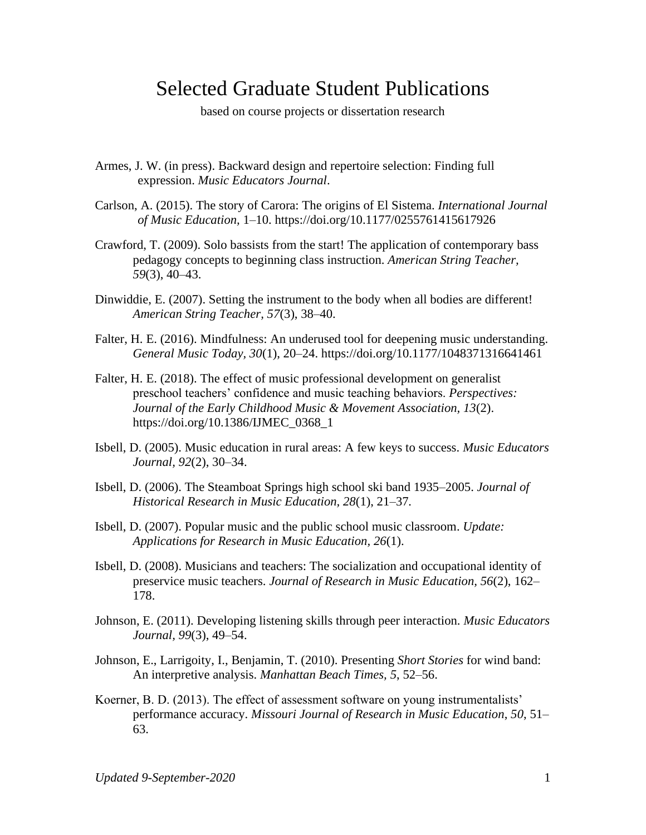## Selected Graduate Student Publications

based on course projects or dissertation research

- Armes, J. W. (in press). Backward design and repertoire selection: Finding full expression. *Music Educators Journal*.
- Carlson, A. (2015). The story of Carora: The origins of El Sistema. *International Journal of Music Education,* 1–10. https://doi.org/10.1177/0255761415617926
- Crawford, T. (2009). Solo bassists from the start! The application of contemporary bass pedagogy concepts to beginning class instruction. *American String Teacher, 59*(3), 40–43.
- Dinwiddie, E. (2007). Setting the instrument to the body when all bodies are different! *American String Teacher, 57*(3), 38–40.
- Falter, H. E. (2016). Mindfulness: An underused tool for deepening music understanding. *General Music Today, 30*(1), 20–24. https://doi.org/10.1177/1048371316641461
- Falter, H. E. (2018). The effect of music professional development on generalist preschool teachers' confidence and music teaching behaviors. *Perspectives: Journal of the Early Childhood Music & Movement Association, 13*(2). https://doi.org/10.1386/IJMEC\_0368\_1
- Isbell, D. (2005). Music education in rural areas: A few keys to success. *Music Educators Journal, 92*(2), 30–34.
- Isbell, D. (2006). The Steamboat Springs high school ski band 1935–2005. *Journal of Historical Research in Music Education, 28*(1), 21–37*.*
- Isbell, D. (2007). Popular music and the public school music classroom. *Update: Applications for Research in Music Education, 26*(1).
- Isbell, D. (2008). Musicians and teachers: The socialization and occupational identity of preservice music teachers. *Journal of Research in Music Education, 56*(2), 162– 178.
- Johnson, E. (2011). Developing listening skills through peer interaction. *Music Educators Journal, 99*(3), 49–54.
- Johnson, E., Larrigoity, I., Benjamin, T. (2010). Presenting *Short Stories* for wind band: An interpretive analysis. *Manhattan Beach Times, 5*, 52–56.
- Koerner, B. D. (2013). The effect of assessment software on young instrumentalists' performance accuracy. *Missouri Journal of Research in Music Education*, *50*, 51– 63.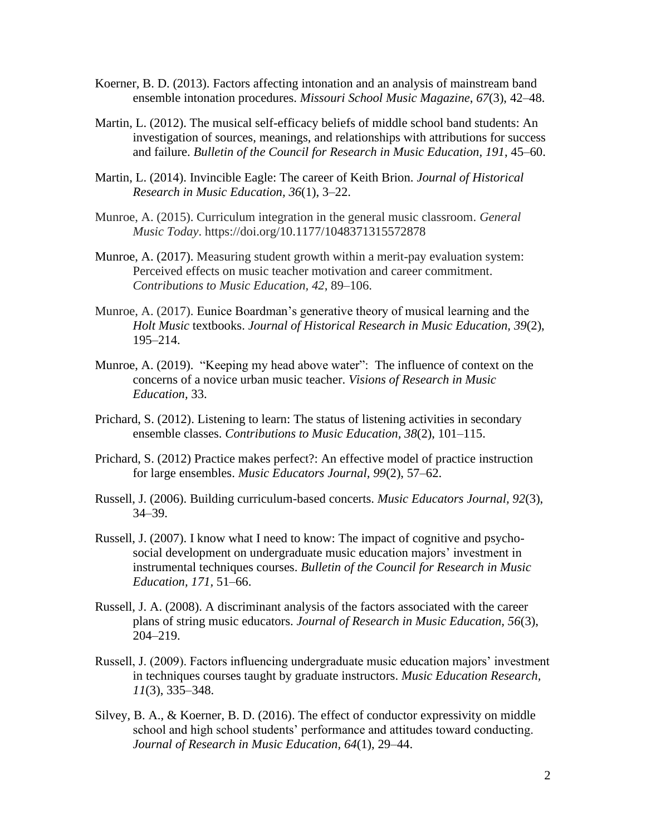- Koerner, B. D. (2013). Factors affecting intonation and an analysis of mainstream band ensemble intonation procedures. *Missouri School Music Magazine*, *67*(3), 42–48.
- Martin, L. (2012). The musical self-efficacy beliefs of middle school band students: An investigation of sources, meanings, and relationships with attributions for success and failure. *Bulletin of the Council for Research in Music Education, 191*, 45–60.
- Martin, L. (2014). Invincible Eagle: The career of Keith Brion. *Journal of Historical Research in Music Education, 36*(1), 3–22.
- Munroe, A. (2015). Curriculum integration in the general music classroom. *General Music Today*. https://doi.org/10.1177/1048371315572878
- Munroe, A. (2017). Measuring student growth within a merit-pay evaluation system: Perceived effects on music teacher motivation and career commitment. *Contributions to Music Education, 42*, 89–106.
- Munroe, A. (2017). Eunice Boardman's generative theory of musical learning and the *Holt Music* textbooks. *Journal of Historical Research in Music Education, 39*(2), 195–214.
- Munroe, A. (2019). "Keeping my head above water": The influence of context on the concerns of a novice urban music teacher. *Visions of Research in Music Education,* 33.
- Prichard, S. (2012). Listening to learn: The status of listening activities in secondary ensemble classes. *Contributions to Music Education, 38*(2), 101–115.
- Prichard, S. (2012) Practice makes perfect?: An effective model of practice instruction for large ensembles. *Music Educators Journal, 99*(2), 57–62.
- Russell, J. (2006). Building curriculum-based concerts. *Music Educators Journal, 92*(3), 34–39.
- Russell, J. (2007). I know what I need to know: The impact of cognitive and psychosocial development on undergraduate music education majors' investment in instrumental techniques courses. *Bulletin of the Council for Research in Music Education, 171,* 51–66.
- Russell, J. A. (2008). A discriminant analysis of the factors associated with the career plans of string music educators. *Journal of Research in Music Education, 56*(3), 204–219.
- Russell, J. (2009). Factors influencing undergraduate music education majors' investment in techniques courses taught by graduate instructors. *Music Education Research, 11*(3), 335–348.
- Silvey, B. A., & Koerner, B. D. (2016). The effect of conductor expressivity on middle school and high school students' performance and attitudes toward conducting. *Journal of Research in Music Education, 64*(1), 29–44.